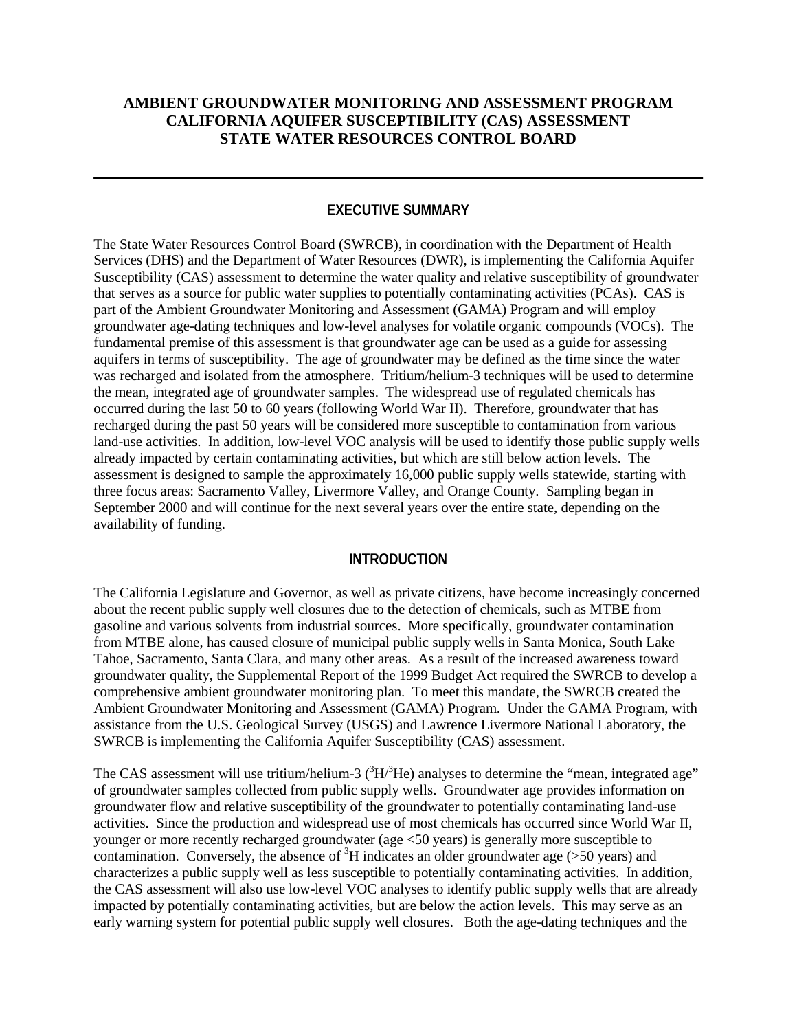## **AMBIENT GROUNDWATER MONITORING AND ASSESSMENT PROGRAM CALIFORNIA AQUIFER SUSCEPTIBILITY (CAS) ASSESSMENT STATE WATER RESOURCES CONTROL BOARD**

#### **EXECUTIVE SUMMARY**

The State Water Resources Control Board (SWRCB), in coordination with the Department of Health Services (DHS) and the Department of Water Resources (DWR), is implementing the California Aquifer Susceptibility (CAS) assessment to determine the water quality and relative susceptibility of groundwater that serves as a source for public water supplies to potentially contaminating activities (PCAs). CAS is part of the Ambient Groundwater Monitoring and Assessment (GAMA) Program and will employ groundwater age-dating techniques and low-level analyses for volatile organic compounds (VOCs). The fundamental premise of this assessment is that groundwater age can be used as a guide for assessing aquifers in terms of susceptibility. The age of groundwater may be defined as the time since the water was recharged and isolated from the atmosphere. Tritium/helium-3 techniques will be used to determine the mean, integrated age of groundwater samples. The widespread use of regulated chemicals has occurred during the last 50 to 60 years (following World War II). Therefore, groundwater that has recharged during the past 50 years will be considered more susceptible to contamination from various land-use activities. In addition, low-level VOC analysis will be used to identify those public supply wells already impacted by certain contaminating activities, but which are still below action levels. The assessment is designed to sample the approximately 16,000 public supply wells statewide, starting with three focus areas: Sacramento Valley, Livermore Valley, and Orange County. Sampling began in September 2000 and will continue for the next several years over the entire state, depending on the availability of funding.

#### **INTRODUCTION**

The California Legislature and Governor, as well as private citizens, have become increasingly concerned about the recent public supply well closures due to the detection of chemicals, such as MTBE from gasoline and various solvents from industrial sources. More specifically, groundwater contamination from MTBE alone, has caused closure of municipal public supply wells in Santa Monica, South Lake Tahoe, Sacramento, Santa Clara, and many other areas. As a result of the increased awareness toward groundwater quality, the Supplemental Report of the 1999 Budget Act required the SWRCB to develop a comprehensive ambient groundwater monitoring plan. To meet this mandate, the SWRCB created the Ambient Groundwater Monitoring and Assessment (GAMA) Program. Under the GAMA Program, with assistance from the U.S. Geological Survey (USGS) and Lawrence Livermore National Laboratory, the SWRCB is implementing the California Aquifer Susceptibility (CAS) assessment.

The CAS assessment will use tritium/helium-3  $(^{3}H/^{3}He)$  analyses to determine the "mean, integrated age" of groundwater samples collected from public supply wells. Groundwater age provides information on groundwater flow and relative susceptibility of the groundwater to potentially contaminating land-use activities. Since the production and widespread use of most chemicals has occurred since World War II, younger or more recently recharged groundwater (age <50 years) is generally more susceptible to contamination. Conversely, the absence of  ${}^{3}H$  indicates an older groundwater age (>50 years) and characterizes a public supply well as less susceptible to potentially contaminating activities. In addition, the CAS assessment will also use low-level VOC analyses to identify public supply wells that are already impacted by potentially contaminating activities, but are below the action levels. This may serve as an early warning system for potential public supply well closures. Both the age-dating techniques and the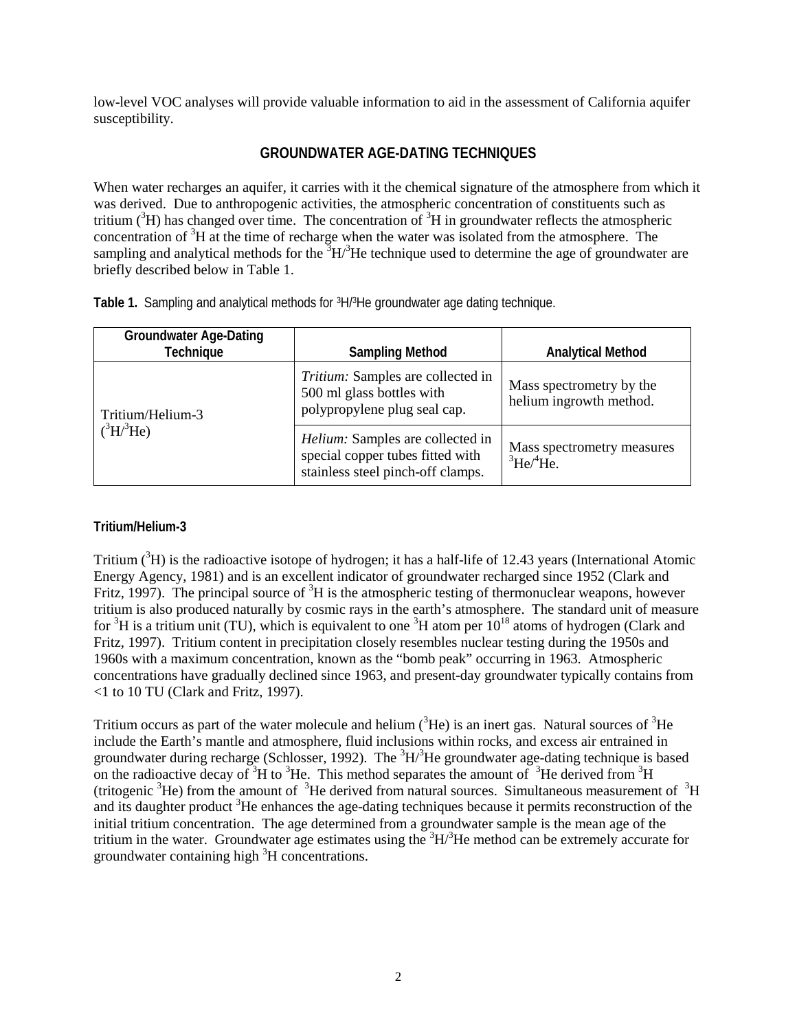low-level VOC analyses will provide valuable information to aid in the assessment of California aquifer susceptibility.

# **GROUNDWATER AGE-DATING TECHNIQUES**

When water recharges an aquifer, it carries with it the chemical signature of the atmosphere from which it was derived. Due to anthropogenic activities, the atmospheric concentration of constituents such as tritium  $({}^{3}H)$  has changed over time. The concentration of  ${}^{3}H$  in groundwater reflects the atmospheric concentration of  ${}^{3}H$  at the time of recharge when the water was isolated from the atmosphere. The sampling and analytical methods for the  ${}^{3}H/{}^{3}He$  technique used to determine the age of groundwater are briefly described below in Table 1.

| <b>Groundwater Age-Dating</b><br><b>Technique</b> | <b>Sampling Method</b>                                                                                    | <b>Analytical Method</b>                                      |
|---------------------------------------------------|-----------------------------------------------------------------------------------------------------------|---------------------------------------------------------------|
| Tritium/Helium-3                                  | Tritium: Samples are collected in<br>500 ml glass bottles with<br>polypropylene plug seal cap.            | Mass spectrometry by the<br>helium ingrowth method.           |
| $(^3H/{}^3He)$                                    | Helium: Samples are collected in<br>special copper tubes fitted with<br>stainless steel pinch-off clamps. | Mass spectrometry measures<br>${}^3\text{He}/{}^4\text{He}$ . |

**Table 1.** Sampling and analytical methods for 3H/3He groundwater age dating technique.

## **Tritium/Helium-3**

Tritium  $({}^{3}H)$  is the radioactive isotope of hydrogen; it has a half-life of 12.43 years (International Atomic Energy Agency, 1981) and is an excellent indicator of groundwater recharged since 1952 (Clark and Fritz, 1997). The principal source of  ${}^{3}H$  is the atmospheric testing of thermonuclear weapons, however tritium is also produced naturally by cosmic rays in the earth's atmosphere. The standard unit of measure for  ${}^{3}H$  is a tritium unit (TU), which is equivalent to one  ${}^{3}H$  atom per  $10^{18}$  atoms of hydrogen (Clark and Fritz, 1997). Tritium content in precipitation closely resembles nuclear testing during the 1950s and 1960s with a maximum concentration, known as the "bomb peak" occurring in 1963. Atmospheric concentrations have gradually declined since 1963, and present-day groundwater typically contains from <1 to 10 TU (Clark and Fritz, 1997).

Tritium occurs as part of the water molecule and helium  $({}^{3}He)$  is an inert gas. Natural sources of  $^{3}He$ include the Earth's mantle and atmosphere, fluid inclusions within rocks, and excess air entrained in groundwater during recharge (Schlosser, 1992). The  ${}^{3}H/{}^{3}He$  groundwater age-dating technique is based on the radioactive decay of  ${}^{3}$ H to  ${}^{3}$ He. This method separates the amount of  ${}^{3}$ He derived from  ${}^{3}$ H (tritogenic  ${}^{3}$ He) from the amount of  ${}^{3}$ He derived from natural sources. Simultaneous measurement of  ${}^{3}$ H and its daughter product <sup>3</sup>He enhances the age-dating techniques because it permits reconstruction of the initial tritium concentration. The age determined from a groundwater sample is the mean age of the tritium in the water. Groundwater age estimates using the  ${}^{3}H/{}^{3}He$  method can be extremely accurate for groundwater containing high  ${}^{3}$ H concentrations.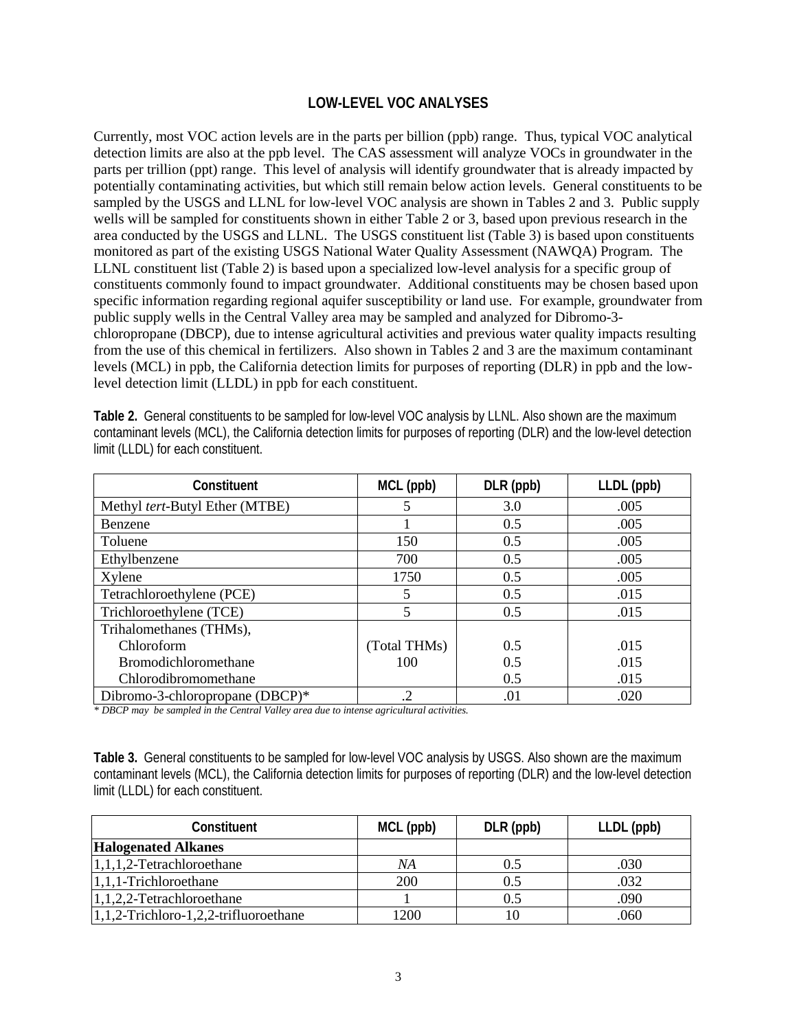### **LOW-LEVEL VOC ANALYSES**

Currently, most VOC action levels are in the parts per billion (ppb) range. Thus, typical VOC analytical detection limits are also at the ppb level. The CAS assessment will analyze VOCs in groundwater in the parts per trillion (ppt) range. This level of analysis will identify groundwater that is already impacted by potentially contaminating activities, but which still remain below action levels. General constituents to be sampled by the USGS and LLNL for low-level VOC analysis are shown in Tables 2 and 3. Public supply wells will be sampled for constituents shown in either Table 2 or 3, based upon previous research in the area conducted by the USGS and LLNL. The USGS constituent list (Table 3) is based upon constituents monitored as part of the existing USGS National Water Quality Assessment (NAWQA) Program. The LLNL constituent list (Table 2) is based upon a specialized low-level analysis for a specific group of constituents commonly found to impact groundwater. Additional constituents may be chosen based upon specific information regarding regional aquifer susceptibility or land use. For example, groundwater from public supply wells in the Central Valley area may be sampled and analyzed for Dibromo-3 chloropropane (DBCP), due to intense agricultural activities and previous water quality impacts resulting from the use of this chemical in fertilizers. Also shown in Tables 2 and 3 are the maximum contaminant levels (MCL) in ppb, the California detection limits for purposes of reporting (DLR) in ppb and the lowlevel detection limit (LLDL) in ppb for each constituent.

**Table 2.** General constituents to be sampled for low-level VOC analysis by LLNL. Also shown are the maximum contaminant levels (MCL), the California detection limits for purposes of reporting (DLR) and the low-level detection limit (LLDL) for each constituent.

| <b>Constituent</b>              | MCL (ppb)    | DLR (ppb) | LLDL (ppb) |
|---------------------------------|--------------|-----------|------------|
| Methyl tert-Butyl Ether (MTBE)  |              | 3.0       | .005       |
| Benzene                         |              | 0.5       | .005       |
| Toluene                         | 150          | 0.5       | .005       |
| Ethylbenzene                    | 700          | 0.5       | .005       |
| Xylene                          | 1750         | 0.5       | .005       |
| Tetrachloroethylene (PCE)       |              | 0.5       | .015       |
| Trichloroethylene (TCE)         |              | 0.5       | .015       |
| Trihalomethanes (THMs),         |              |           |            |
| Chloroform                      | (Total THMs) | 0.5       | .015       |
| <b>Bromodichloromethane</b>     | 100          | 0.5       | .015       |
| Chlorodibromomethane            |              | 0.5       | .015       |
| Dibromo-3-chloropropane (DBCP)* | .2           | .01       | .020       |

*\* DBCP may be sampled in the Central Valley area due to intense agricultural activities.*

**Table 3.** General constituents to be sampled for low-level VOC analysis by USGS. Also shown are the maximum contaminant levels (MCL), the California detection limits for purposes of reporting (DLR) and the low-level detection limit (LLDL) for each constituent.

| <b>Constituent</b>                         | MCL (ppb) | DLR (ppb) | LLDL (ppb) |
|--------------------------------------------|-----------|-----------|------------|
| <b>Halogenated Alkanes</b>                 |           |           |            |
| $1,1,1,2$ -Tetrachloroethane               | NA        | 0.5       | .030       |
| $1,1,1$ -Trichloroethane                   | 200       | 0.5       | .032       |
| 1,1,2,2-Tetrachloroethane                  |           | 0.5       | .090       |
| $1, 1, 2$ -Trichloro-1,2,2-trifluoroethane | 1200      |           | .060       |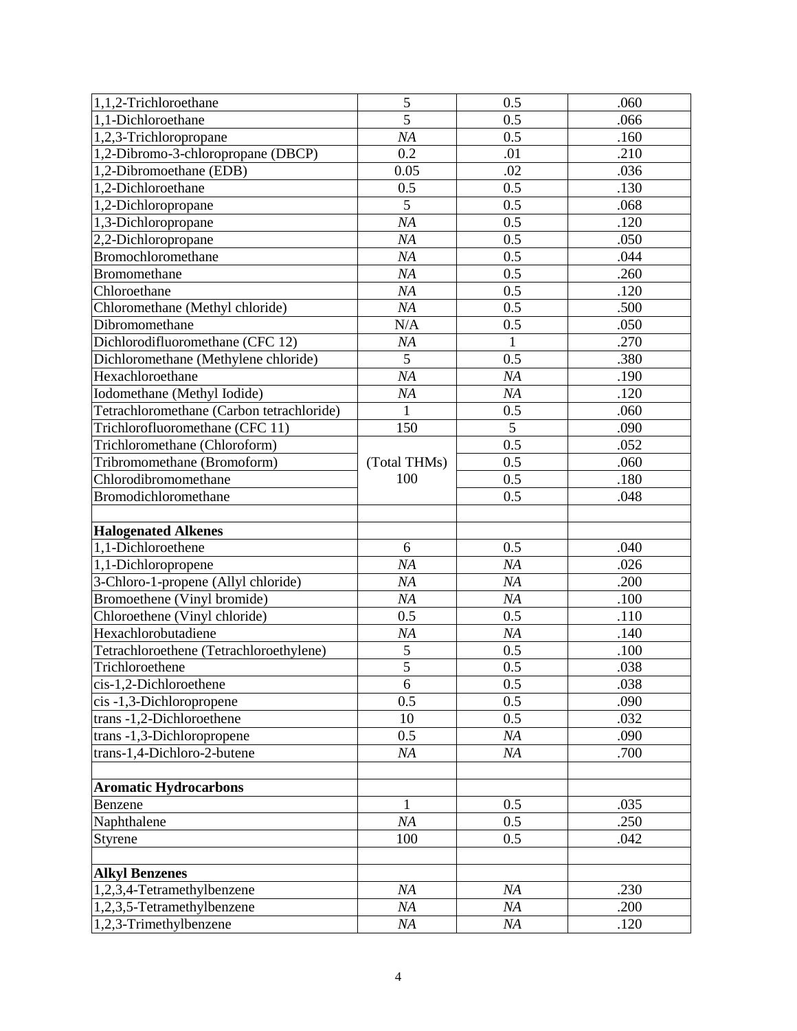| 1,1,2-Trichloroethane                                | 5              | 0.5          | .060         |
|------------------------------------------------------|----------------|--------------|--------------|
| 1,1-Dichloroethane                                   | $\overline{5}$ | 0.5          | .066         |
| 1,2,3-Trichloropropane                               | NA             | 0.5          | .160         |
| 1,2-Dibromo-3-chloropropane (DBCP)                   | 0.2            | .01          | .210         |
| 1,2-Dibromoethane (EDB)                              | 0.05           | .02          | .036         |
| 1,2-Dichloroethane                                   | 0.5            | 0.5          | .130         |
| 1,2-Dichloropropane                                  | 5              | 0.5          | .068         |
| 1,3-Dichloropropane                                  | NA             | 0.5          | .120         |
| 2,2-Dichloropropane                                  | NA             | 0.5          | .050         |
| Bromochloromethane                                   | NA             | 0.5          | .044         |
| <b>Bromomethane</b>                                  | NA             | 0.5          | .260         |
| Chloroethane                                         | NA             | 0.5          | .120         |
| Chloromethane (Methyl chloride)                      | NA             | 0.5          | .500         |
| Dibromomethane                                       | N/A            | 0.5          | .050         |
| Dichlorodifluoromethane (CFC 12)                     | NA             | $\mathbf{1}$ | .270         |
| Dichloromethane (Methylene chloride)                 | $\overline{5}$ | 0.5          | .380         |
| Hexachloroethane                                     | NA             | NA           | .190         |
| Iodomethane (Methyl Iodide)                          | NA             | NA           | .120         |
| Tetrachloromethane (Carbon tetrachloride)            | $\mathbf{1}$   | 0.5          | .060         |
| Trichlorofluoromethane (CFC 11)                      | 150            | 5            | .090         |
| Trichloromethane (Chloroform)                        |                | 0.5          | .052         |
| Tribromomethane (Bromoform)                          | (Total THMs)   | 0.5          | .060         |
| Chlorodibromomethane                                 | 100            | 0.5          | .180         |
| Bromodichloromethane                                 |                | 0.5          | .048         |
|                                                      |                |              |              |
|                                                      |                |              |              |
| <b>Halogenated Alkenes</b>                           |                |              |              |
| 1,1-Dichloroethene                                   | 6              | 0.5          | .040         |
| 1,1-Dichloropropene                                  | NA             | NA           | .026         |
| 3-Chloro-1-propene (Allyl chloride)                  | NA             | NA           | .200         |
| Bromoethene (Vinyl bromide)                          | NA             | NA           | .100         |
| Chloroethene (Vinyl chloride)                        | 0.5            | 0.5          | .110         |
| Hexachlorobutadiene                                  | NA             | NA           | .140         |
| Tetrachloroethene (Tetrachloroethylene)              | $\mathfrak s$  | 0.5          | .100         |
| Trichloroethene                                      | $\overline{5}$ | 0.5          | .038         |
| cis-1,2-Dichloroethene                               | 6              | 0.5          | .038         |
| cis-1,3-Dichloropropene                              | 0.5            | 0.5          | .090         |
| trans -1,2-Dichloroethene                            | 10             | 0.5          | .032         |
| trans -1,3-Dichloropropene                           | 0.5            | NA           | .090         |
| trans-1,4-Dichloro-2-butene                          | NA             | NA           | .700         |
|                                                      |                |              |              |
| <b>Aromatic Hydrocarbons</b>                         |                |              |              |
| Benzene                                              | $\mathbf{1}$   | 0.5          | .035         |
| Naphthalene                                          | NA             | 0.5          | .250         |
| Styrene                                              | 100            | 0.5          | .042         |
|                                                      |                |              |              |
| <b>Alkyl Benzenes</b>                                |                |              |              |
| 1,2,3,4-Tetramethylbenzene                           | NA             | NA           | .230         |
| 1,2,3,5-Tetramethylbenzene<br>1,2,3-Trimethylbenzene | NA<br>NA       | NA<br>NA     | .200<br>.120 |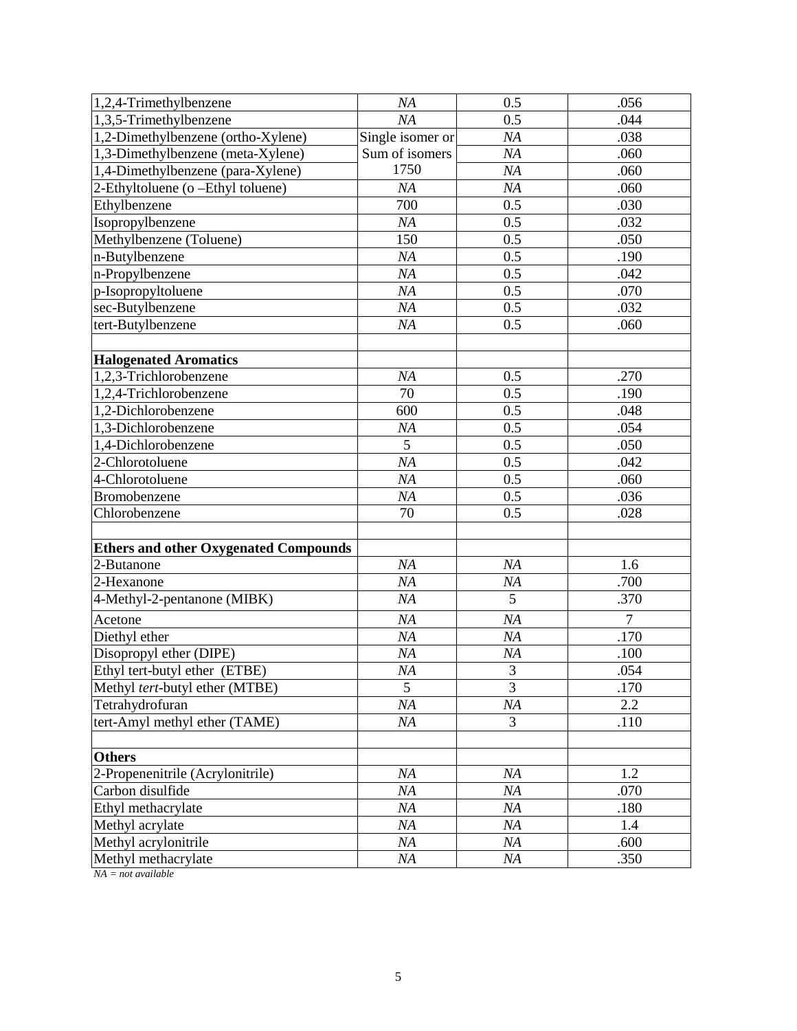| 1,2,4-Trimethylbenzene                       | NA               | 0.5    | .056           |
|----------------------------------------------|------------------|--------|----------------|
| 1,3,5-Trimethylbenzene                       | NA               | 0.5    | .044           |
| 1,2-Dimethylbenzene (ortho-Xylene)           | Single isomer or | NA     | .038           |
| 1,3-Dimethylbenzene (meta-Xylene)            | Sum of isomers   | NA     | .060           |
| 1,4-Dimethylbenzene (para-Xylene)            | 1750             | NA     | .060           |
| 2-Ethyltoluene (o -Ethyl toluene)            | NA               | NA     | .060           |
| Ethylbenzene                                 | 700              | 0.5    | .030           |
| Isopropylbenzene                             | NA               | 0.5    | .032           |
| Methylbenzene (Toluene)                      | 150              | 0.5    | .050           |
| n-Butylbenzene                               | NA               | 0.5    | .190           |
| n-Propylbenzene                              | NA               | 0.5    | .042           |
| p-Isopropyltoluene                           | NA               | 0.5    | .070           |
| sec-Butylbenzene                             | NA               | 0.5    | .032           |
| tert-Butylbenzene                            | NA               | 0.5    | .060           |
|                                              |                  |        |                |
| <b>Halogenated Aromatics</b>                 |                  |        |                |
| 1,2,3-Trichlorobenzene                       | NA               | 0.5    | .270           |
| 1,2,4-Trichlorobenzene                       | 70               | 0.5    | .190           |
| 1,2-Dichlorobenzene                          | 600              | 0.5    | .048           |
| 1,3-Dichlorobenzene                          | NA               | 0.5    | .054           |
| 1,4-Dichlorobenzene                          | $\overline{5}$   | 0.5    | .050           |
| 2-Chlorotoluene                              | NA               | 0.5    | .042           |
| 4-Chlorotoluene                              | NA               | 0.5    | .060           |
| Bromobenzene                                 | NA               | 0.5    | .036           |
| Chlorobenzene                                | 70               | 0.5    | .028           |
|                                              |                  |        |                |
| <b>Ethers and other Oxygenated Compounds</b> |                  |        |                |
| 2-Butanone                                   | NA               | NA     | 1.6            |
| 2-Hexanone                                   | NA               | NA     | .700           |
| 4-Methyl-2-pentanone (MIBK)                  | NA               | 5      | .370           |
| Acetone                                      | NA               | NA     | $\overline{7}$ |
| Diethyl ether                                | NA               | NA     | .170           |
| Disopropyl ether (DIPE)                      | NA               | NA     | .100           |
| Ethyl tert-butyl ether (ETBE)                | NA               | 3      | .054           |
| Methyl tert-butyl ether (MTBE)               | 5                | 3      | .170           |
| Tetrahydrofuran                              | NA               | NA     | 2.2            |
| tert-Amyl methyl ether (TAME)                | NA               | 3      | .110           |
|                                              |                  |        |                |
| <b>Others</b>                                |                  |        |                |
| 2-Propenenitrile (Acrylonitrile)             | NA               | NA     | 1.2            |
| Carbon disulfide                             | NA               | NA     | .070           |
| Ethyl methacrylate                           | NA               | NA     | .180           |
| Methyl acrylate                              | NA               | NA     | 1.4            |
| Methyl acrylonitrile                         | NA               | NA     | .600           |
| Methyl methacrylate                          | NA               | $N\!A$ | .350           |

*NA = not available*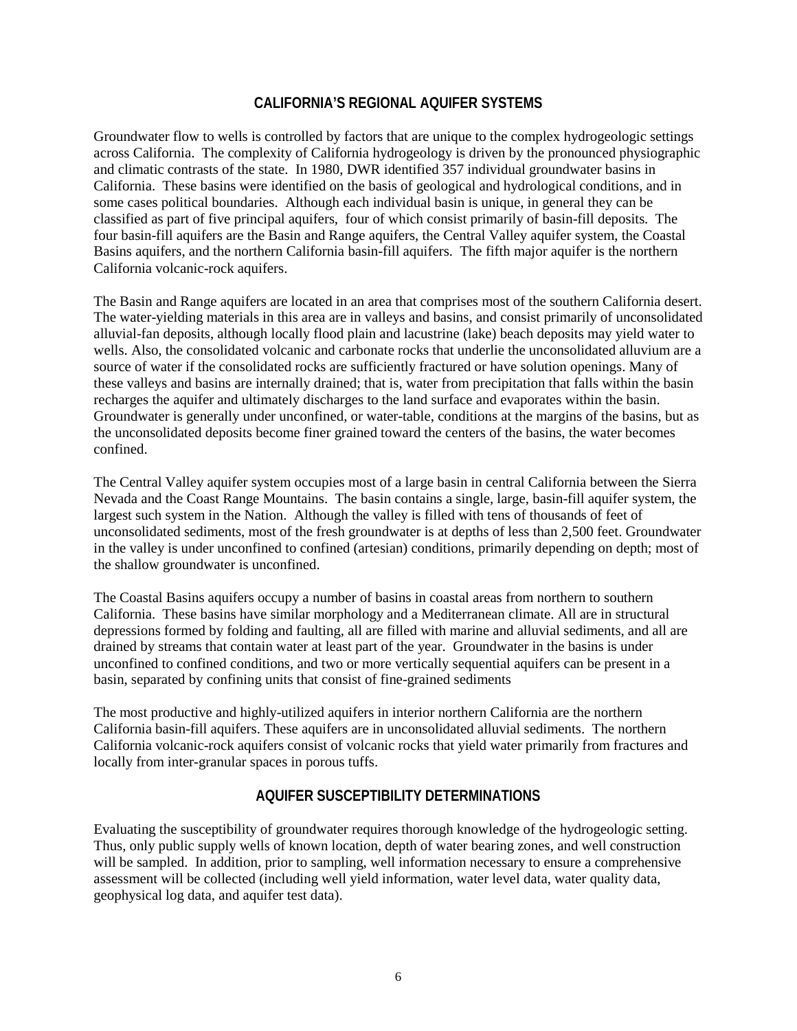## **CALIFORNIA'S REGIONAL AQUIFER SYSTEMS**

Groundwater flow to wells is controlled by factors that are unique to the complex hydrogeologic settings across California. The complexity of California hydrogeology is driven by the pronounced physiographic and climatic contrasts of the state. In 1980, DWR identified 357 individual groundwater basins in California. These basins were identified on the basis of geological and hydrological conditions, and in some cases political boundaries. Although each individual basin is unique, in general they can be classified as part of five principal aquifers, four of which consist primarily of basin-fill deposits. The four basin-fill aquifers are the Basin and Range aquifers, the Central Valley aquifer system, the Coastal Basins aquifers, and the northern California basin-fill aquifers. The fifth major aquifer is the northern California volcanic-rock aquifers.

The Basin and Range aquifers are located in an area that comprises most of the southern California desert. The water-yielding materials in this area are in valleys and basins, and consist primarily of unconsolidated alluvial-fan deposits, although locally flood plain and lacustrine (lake) beach deposits may yield water to wells. Also, the consolidated volcanic and carbonate rocks that underlie the unconsolidated alluvium are a source of water if the consolidated rocks are sufficiently fractured or have solution openings. Many of these valleys and basins are internally drained; that is, water from precipitation that falls within the basin recharges the aquifer and ultimately discharges to the land surface and evaporates within the basin. Groundwater is generally under unconfined, or water-table, conditions at the margins of the basins, but as the unconsolidated deposits become finer grained toward the centers of the basins, the water becomes confined.

The Central Valley aquifer system occupies most of a large basin in central California between the Sierra Nevada and the Coast Range Mountains. The basin contains a single, large, basin-fill aquifer system, the largest such system in the Nation. Although the valley is filled with tens of thousands of feet of unconsolidated sediments, most of the fresh groundwater is at depths of less than 2,500 feet. Groundwater in the valley is under unconfined to confined (artesian) conditions, primarily depending on depth; most of the shallow groundwater is unconfined.

The Coastal Basins aquifers occupy a number of basins in coastal areas from northern to southern California. These basins have similar morphology and a Mediterranean climate. All are in structural depressions formed by folding and faulting, all are filled with marine and alluvial sediments, and all are drained by streams that contain water at least part of the year. Groundwater in the basins is under unconfined to confined conditions, and two or more vertically sequential aquifers can be present in a basin, separated by confining units that consist of fine-grained sediments

The most productive and highly-utilized aquifers in interior northern California are the northern California basin-fill aquifers. These aquifers are in unconsolidated alluvial sediments. The northern California volcanic-rock aquifers consist of volcanic rocks that yield water primarily from fractures and locally from inter-granular spaces in porous tuffs.

## **AQUIFER SUSCEPTIBILITY DETERMINATIONS**

Evaluating the susceptibility of groundwater requires thorough knowledge of the hydrogeologic setting. Thus, only public supply wells of known location, depth of water bearing zones, and well construction will be sampled. In addition, prior to sampling, well information necessary to ensure a comprehensive assessment will be collected (including well yield information, water level data, water quality data, geophysical log data, and aquifer test data).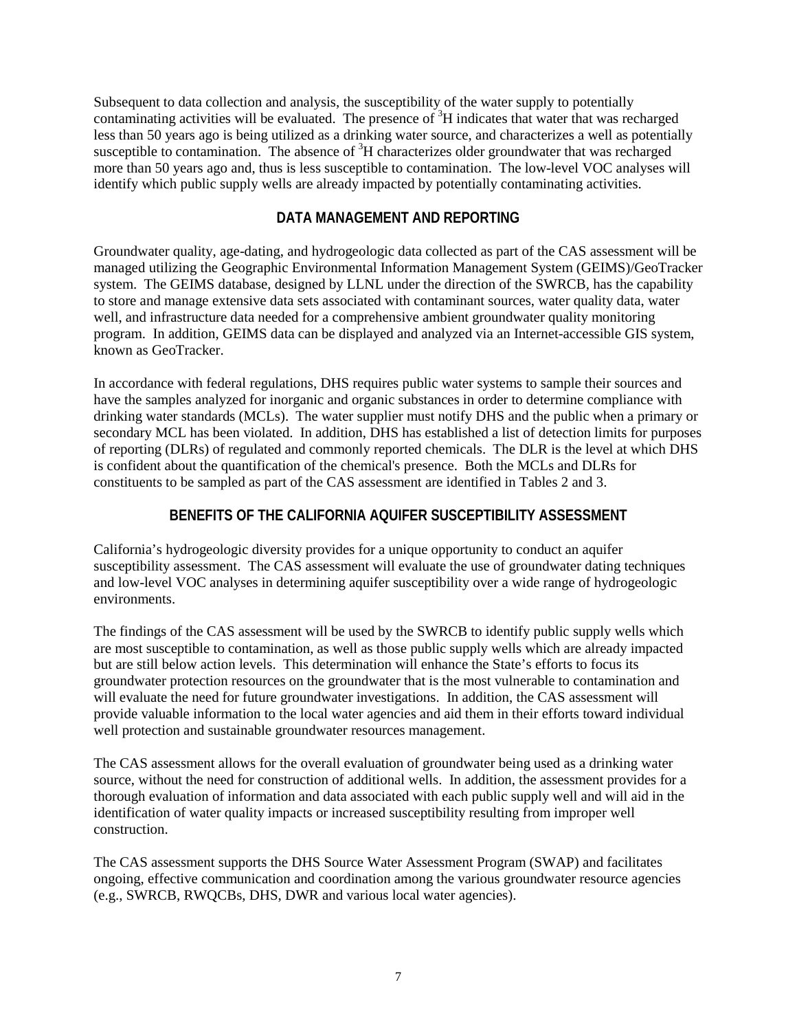Subsequent to data collection and analysis, the susceptibility of the water supply to potentially contaminating activities will be evaluated. The presence of <sup>3</sup>H indicates that water that was recharged less than 50 years ago is being utilized as a drinking water source, and characterizes a well as potentially susceptible to contamination. The absence of  ${}^{3}H$  characterizes older groundwater that was recharged more than 50 years ago and, thus is less susceptible to contamination. The low-level VOC analyses will identify which public supply wells are already impacted by potentially contaminating activities.

### **DATA MANAGEMENT AND REPORTING**

Groundwater quality, age-dating, and hydrogeologic data collected as part of the CAS assessment will be managed utilizing the Geographic Environmental Information Management System (GEIMS)/GeoTracker system. The GEIMS database, designed by LLNL under the direction of the SWRCB, has the capability to store and manage extensive data sets associated with contaminant sources, water quality data, water well, and infrastructure data needed for a comprehensive ambient groundwater quality monitoring program. In addition, GEIMS data can be displayed and analyzed via an Internet-accessible GIS system, known as GeoTracker.

In accordance with federal regulations, DHS requires public water systems to sample their sources and have the samples analyzed for inorganic and organic substances in order to determine compliance with drinking water standards (MCLs). The water supplier must notify DHS and the public when a primary or secondary MCL has been violated. In addition, DHS has established a list of detection limits for purposes of reporting (DLRs) of regulated and commonly reported chemicals. The DLR is the level at which DHS is confident about the quantification of the chemical's presence. Both the MCLs and DLRs for constituents to be sampled as part of the CAS assessment are identified in Tables 2 and 3.

## **BENEFITS OF THE CALIFORNIA AQUIFER SUSCEPTIBILITY ASSESSMENT**

California's hydrogeologic diversity provides for a unique opportunity to conduct an aquifer susceptibility assessment. The CAS assessment will evaluate the use of groundwater dating techniques and low-level VOC analyses in determining aquifer susceptibility over a wide range of hydrogeologic environments.

The findings of the CAS assessment will be used by the SWRCB to identify public supply wells which are most susceptible to contamination, as well as those public supply wells which are already impacted but are still below action levels. This determination will enhance the State's efforts to focus its groundwater protection resources on the groundwater that is the most vulnerable to contamination and will evaluate the need for future groundwater investigations. In addition, the CAS assessment will provide valuable information to the local water agencies and aid them in their efforts toward individual well protection and sustainable groundwater resources management.

The CAS assessment allows for the overall evaluation of groundwater being used as a drinking water source, without the need for construction of additional wells. In addition, the assessment provides for a thorough evaluation of information and data associated with each public supply well and will aid in the identification of water quality impacts or increased susceptibility resulting from improper well construction.

The CAS assessment supports the DHS Source Water Assessment Program (SWAP) and facilitates ongoing, effective communication and coordination among the various groundwater resource agencies (e.g., SWRCB, RWQCBs, DHS, DWR and various local water agencies).